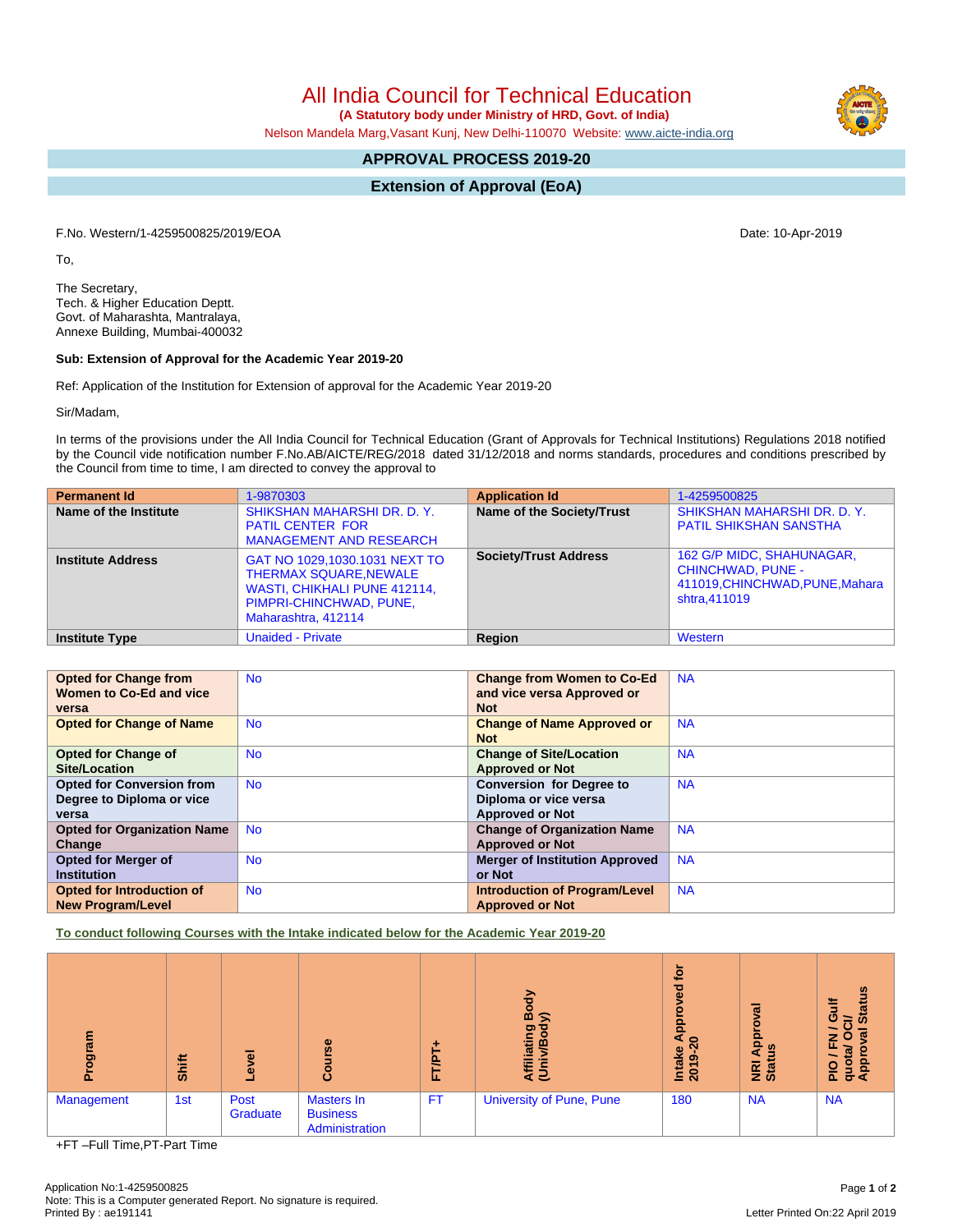All India Council for Technical Education

 **(A Statutory body under Ministry of HRD, Govt. of India)**

Nelson Mandela Marg,Vasant Kunj, New Delhi-110070 Website: [www.aicte-india.org](http://www.aicte-india.org)

# **APPROVAL PROCESS 2019-20**

**Extension of Approval (EoA)**

F.No. Western/1-4259500825/2019/EOA Date: 10-Apr-2019

To,

The Secretary, Tech. & Higher Education Deptt. Govt. of Maharashta, Mantralaya, Annexe Building, Mumbai-400032

# **Sub: Extension of Approval for the Academic Year 2019-20**

Ref: Application of the Institution for Extension of approval for the Academic Year 2019-20

Sir/Madam,

In terms of the provisions under the All India Council for Technical Education (Grant of Approvals for Technical Institutions) Regulations 2018 notified by the Council vide notification number F.No.AB/AICTE/REG/2018 dated 31/12/2018 and norms standards, procedures and conditions prescribed by the Council from time to time, I am directed to convey the approval to

| <b>Permanent Id</b>      | 1-9870303                                                                                                                                        | <b>Application Id</b>        | 1-4259500825                                                                                             |
|--------------------------|--------------------------------------------------------------------------------------------------------------------------------------------------|------------------------------|----------------------------------------------------------------------------------------------------------|
| Name of the Institute    | SHIKSHAN MAHARSHI DR. D. Y.<br><b>PATIL CENTER FOR</b><br><b>MANAGEMENT AND RESEARCH</b>                                                         | Name of the Society/Trust    | SHIKSHAN MAHARSHI DR. D. Y.<br><b>PATIL SHIKSHAN SANSTHA</b>                                             |
| <b>Institute Address</b> | GAT NO 1029,1030.1031 NEXT TO<br><b>THERMAX SQUARE, NEWALE</b><br>WASTI, CHIKHALI PUNE 412114,<br>PIMPRI-CHINCHWAD, PUNE,<br>Maharashtra, 412114 | <b>Society/Trust Address</b> | 162 G/P MIDC, SHAHUNAGAR,<br><b>CHINCHWAD, PUNE -</b><br>411019, CHINCHWAD, PUNE, Mahara<br>shtra.411019 |
| <b>Institute Type</b>    | <b>Unaided - Private</b>                                                                                                                         | Region                       | Western                                                                                                  |

| <b>Opted for Change from</b>       | <b>No</b> | <b>Change from Women to Co-Ed</b>     | <b>NA</b> |
|------------------------------------|-----------|---------------------------------------|-----------|
| Women to Co-Ed and vice            |           | and vice versa Approved or            |           |
| versa                              |           | <b>Not</b>                            |           |
| <b>Opted for Change of Name</b>    | <b>No</b> | <b>Change of Name Approved or</b>     | <b>NA</b> |
|                                    |           | <b>Not</b>                            |           |
| <b>Opted for Change of</b>         | <b>No</b> | <b>Change of Site/Location</b>        | <b>NA</b> |
| Site/Location                      |           | <b>Approved or Not</b>                |           |
| <b>Opted for Conversion from</b>   | <b>No</b> | <b>Conversion for Degree to</b>       | <b>NA</b> |
| Degree to Diploma or vice          |           | Diploma or vice versa                 |           |
| versa                              |           | <b>Approved or Not</b>                |           |
| <b>Opted for Organization Name</b> | <b>No</b> | <b>Change of Organization Name</b>    | <b>NA</b> |
| Change                             |           | <b>Approved or Not</b>                |           |
| <b>Opted for Merger of</b>         | <b>No</b> | <b>Merger of Institution Approved</b> | <b>NA</b> |
| <b>Institution</b>                 |           | or Not                                |           |
| Opted for Introduction of          | <b>No</b> | <b>Introduction of Program/Level</b>  | <b>NA</b> |
| <b>New Program/Level</b>           |           | <b>Approved or Not</b>                |           |

**To conduct following Courses with the Intake indicated below for the Academic Year 2019-20**

| តូ<br>ā    | Shift | ᠊ᢛ<br>۰.<br>Ö.   | rse<br>5<br>ဒီ                                  | FT/PT     | ⋗<br>m<br>≲<br>ත<br>ā<br>m<br>₹ē | ្ទុក<br>್ಠಾ<br>App<br>$\overline{a}$<br><b>Intake</b><br>2019-2 | ड़<br>ō<br>윤<br>ற<br><b>E</b> at | <b>Status</b><br>O<br>≃<br>œ<br>z<br>$\circ$<br>ш.<br>quot<br>Appl<br>o<br>ā. |
|------------|-------|------------------|-------------------------------------------------|-----------|----------------------------------|-----------------------------------------------------------------|----------------------------------|-------------------------------------------------------------------------------|
| Management | 1st   | Post<br>Graduate | Masters In<br><b>Business</b><br>Administration | <b>FT</b> | <b>University of Pune, Pune</b>  | 180                                                             | <b>NA</b>                        | <b>NA</b>                                                                     |

+FT –Full Time,PT-Part Time